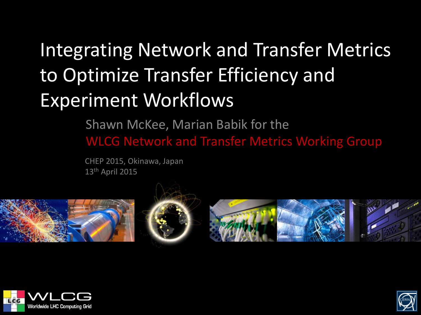#### Integrating Network and Transfer Metrics to Optimize Transfer Efficiency and Experiment Workflows

Shawn McKee, Marian Babik for the WLCG Network and Transfer Metrics Working Group

CHEP 2015, Okinawa, Japan 13th April 2015









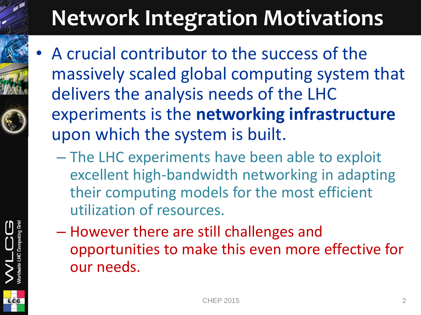# **Network Integration Motivations**

- A crucial contributor to the success of the massively scaled global computing system that delivers the analysis needs of the LHC experiments is the **networking infrastructure**  upon which the system is built.
	- The LHC experiments have been able to exploit excellent high-bandwidth networking in adapting their computing models for the most efficient utilization of resources.
	- However there are still challenges and opportunities to make this even more effective for our needs.

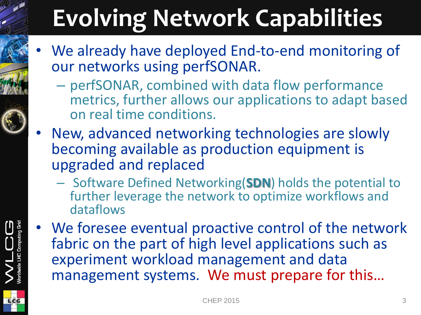# **Evolving Network Capabilities**

- We already have deployed End-to-end monitoring of our networks using perfSONAR.
	- perfSONAR, combined with data flow performance metrics, further allows our applications to adapt based on real time conditions.
- New, advanced networking technologies are slowly becoming available as production equipment is upgraded and replaced
	- Software Defined Networking(**SDN**) holds the potential to further leverage the network to optimize workflows and dataflows
- We foresee eventual proactive control of the network fabric on the part of high level applications such as experiment workload management and data management systems. We must prepare for this…

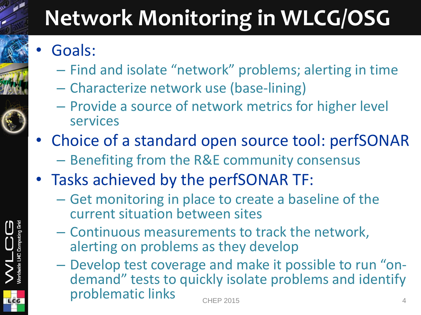### **Network Monitoring in WLCG/OSG**

- Goals:
	- Find and isolate "network" problems; alerting in time
	- Characterize network use (base-lining)
	- Provide a source of network metrics for higher level services
- Choice of a standard open source tool: perfSONAR – Benefiting from the R&E community consensus
- Tasks achieved by the perfSONAR TF:
	- Get monitoring in place to create a baseline of the current situation between sites
	- Continuous measurements to track the network, alerting on problems as they develop
	- Develop test coverage and make it possible to run "ondemand" tests to quickly isolate problems and identify problematic links extending the change of the change of the change of the change of the change of the change of the change of the change of the change of the change of the change of the change of the change of the change o CHEP 2015

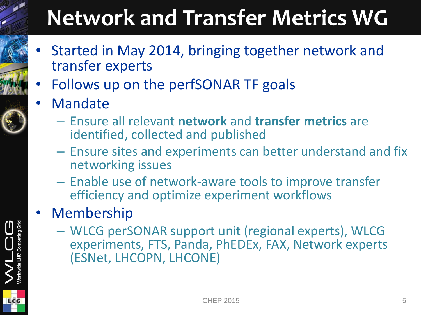### **Network and Transfer Metrics WG**

- Started in May 2014, bringing together network and transfer experts
- Follows up on the perfSONAR TF goals
- Mandate
	- Ensure all relevant **network** and **transfer metrics** are identified, collected and published
	- Ensure sites and experiments can better understand and fix networking issues
	- Enable use of network-aware tools to improve transfer efficiency and optimize experiment workflows
- **Membership** 
	- WLCG perSONAR support unit (regional experts), WLCG experiments, FTS, Panda, PhEDEx, FAX, Network experts (ESNet, LHCOPN, LHCONE)



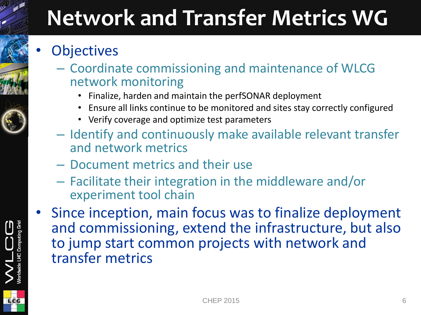### **Network and Transfer Metrics WG**

#### **Objectives**

- Coordinate commissioning and maintenance of WLCG network monitoring
	- Finalize, harden and maintain the perfSONAR deployment
	- Ensure all links continue to be monitored and sites stay correctly configured
	- Verify coverage and optimize test parameters
- Identify and continuously make available relevant transfer and network metrics
- Document metrics and their use
- Facilitate their integration in the middleware and/or experiment tool chain
- Since inception, main focus was to finalize deployment and commissioning, extend the infrastructure, but also to jump start common projects with network and transfer metrics



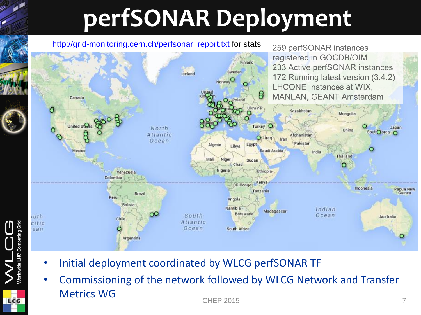# **perfSONAR Deployment**

#### [http://grid-monitoring.cern.ch/perfsonar\\_report.txt](http://grid-monitoring.cern.ch/perfsonar_report.txt) for stats



• Initial deployment coordinated by WLCG perfSONAR TF

LCG

• Commissioning of the network followed by WLCG Network and Transfer Metrics WG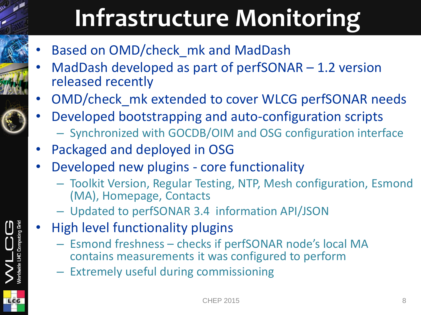# **Infrastructure Monitoring**

- Based on OMD/check\_mk and MadDash
- MadDash developed as part of perfSONAR 1.2 version released recently
- OMD/check\_mk extended to cover WLCG perfSONAR needs
- Developed bootstrapping and auto-configuration scripts
	- Synchronized with GOCDB/OIM and OSG configuration interface
- Packaged and deployed in OSG
- Developed new plugins core functionality
	- Toolkit Version, Regular Testing, NTP, Mesh configuration, Esmond (MA), Homepage, Contacts
	- Updated to perfSONAR 3.4 information API/JSON
- High level functionality plugins
	- Esmond freshness checks if perfSONAR node's local MA contains measurements it was configured to perform
	- Extremely useful during commissioning

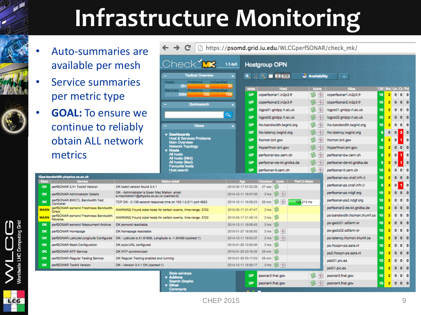# **Infrastructure Monitoring**

- Auto-summ available pe
- Service sum per metric ty
- **GOAL:** To en continue to obtain ALL r metrics

2ps-bandwidth.physics.ox.ac.uk

Controller

Reverse

perfSONAR 3.4+ Toolkit Version perfSONAR Administrator Details perfSONAR BWCTL Bandwidth Test

perfSONAR esmond Freshness Bandw

perfSONAR esmond Freshness Bandw

perfSONAR esmond Measurment Arch

perfSONAR Latitude/Longitude Configu

perfSONAR Regular Testing Service perfSONAR Toolkit Version

perfSONAR Mesh Configuration

perfSONAR Homepage

perfSONAR NTP Service

OK

OK

**WARN** Direct

**WAR** 

OK

OK

OK

OK **OK** 

**OK** 

OK

LCG

| aries are<br>r mesh!                                                                                                    |                                                                | https://psomd.grid.iu.edu/WLCGperfSONAR/check_mk/<br>C                         |                             |                      |                                      |              |              |                               |    |          |                     |                             |                      |
|-------------------------------------------------------------------------------------------------------------------------|----------------------------------------------------------------|--------------------------------------------------------------------------------|-----------------------------|----------------------|--------------------------------------|--------------|--------------|-------------------------------|----|----------|---------------------|-----------------------------|----------------------|
|                                                                                                                         |                                                                | Check_ <b>MK</b>                                                               | 1.2.4p5                     | <b>Hostgroup OPN</b> |                                      |              |              |                               |    |          |                     |                             |                      |
| maries                                                                                                                  |                                                                | <b>Tactical Overview</b><br><b>Hosts</b><br>Problems<br>Unhandled<br>251<br>30 | $\boldsymbol{\times}$<br>30 |                      | $R$ $\sqrt{2}$ 30s                   |              | Availability | $\mathbf{m}$                  |    |          |                     |                             |                      |
|                                                                                                                         |                                                                | <b>Unhandled</b><br>Services<br>Problems<br>3084<br>720                        | state<br><b>UP</b><br>720   |                      | <b>Host</b><br>ccperfsonar1.in2p3.fr |              | Icons<br>S   | <b>Alias</b>                  | 10 | 2        | $\bullet$           | OK Wa Un Cr Pd<br>$\bullet$ | $\ddot{\mathbf{0}}$  |
| ype:                                                                                                                    |                                                                |                                                                                |                             |                      |                                      |              |              | ccperfsonar1.in2p3.fr         |    |          |                     |                             |                      |
|                                                                                                                         |                                                                | Quicksearch                                                                    | <b>UP</b><br>$\mathbf{x}$   |                      | ccperfsonar2.in2p3.fr                |              |              | coperfsonar2.in2p3.fr         | 10 |          | n                   | $\mathbf 0$                 | $\circ$              |
| ารure we                                                                                                                |                                                                |                                                                                | <b>UP</b><br>$\alpha$       |                      | lcgps01.gridpp.rl.ac.uk              |              | S            | lcgps01.gridpp.rl.ac.uk       | 10 |          | $\mathbf 0$         | $\bullet$                   | $\mathbf 0$          |
|                                                                                                                         |                                                                |                                                                                | <b>UP</b>                   |                      | lcgps02.gridpp.rl.ac.uk              |              | S<br>۳v      | lcgps02.gridpp.rl.ac.uk       | 10 |          | $\bullet$           | $\bullet$                   | $\ddot{\phantom{0}}$ |
| reliably                                                                                                                |                                                                | <b>Views</b>                                                                   | <b>UP</b><br>$\mathbf{x}$   |                      | lhc-bandwidth.twgrid.org             |              | S            | lhc-bandwidth.twgrid.org      | 10 | 2        | Ō                   | ۰                           | $\bullet$            |
|                                                                                                                         |                                                                | <b>Dashboards</b>                                                              | <b>UP</b>                   |                      | lhc-latency.twgrid.org               |              |              | lhc-latency.twgrid.org        | G  | $\bf{0}$ | $\mathbf{0}$        | ы                           | $\bullet$            |
| etwork                                                                                                                  |                                                                | <b>Host &amp; Services Problems</b><br><b>Main Overview</b>                    | <b>UP</b>                   |                      | Ihcmon.bnl.gov<br>Ihcperfmon.bnl.gov |              | S            | Ihcmon.bnl.gov                | 9  | 2        | $\mathbf{0}$        | ٠                           | $\bullet$            |
|                                                                                                                         |                                                                | <b>Network Topology</b><br><b>Hosts</b>                                        | <b>UP</b>                   |                      |                                      |              | S.           | Ihcperfmon.bnl.gov            | 10 | 2        | $\ddot{\mathbf{0}}$ | $\bullet$                   | $\ddot{\mathbf{0}}$  |
|                                                                                                                         |                                                                | <b>All hosts</b><br>All hosts (Mini)                                           | <b>UP</b>                   |                      | perfsonar-bw.cern.ch                 |              |              | perfsonar-bw.cern.ch          | я  | 2        | $\bullet$           | ٦                           | $\bullet$            |
|                                                                                                                         |                                                                | All hosts (tiled)                                                              | <b>UP</b>                   |                      | perfsonar-de-kit.gridka.de           |              |              | perfsonar-de-kit.gridka.de    | 9  | 2        | $\ddot{\mathbf{0}}$ | 1                           | $\mathbf 0$          |
|                                                                                                                         |                                                                | <b>Favourite hosts</b><br><b>Host search</b>                                   | <b>UP</b>                   |                      | perfsonar-lt.cern.ch                 |              | 24           | perfsonar-lt.cem.ch           | 10 | 2        | $\mathbf 0$         | $\bullet$                   | $\bullet$            |
|                                                                                                                         |                                                                |                                                                                |                             |                      |                                      |              |              | perfsonar-ow.cnaf.infn.it     | 10 | 2        | n                   | $\bf{0}$                    | $\circ$              |
|                                                                                                                         |                                                                | <b>Status detail</b>                                                           | 2015-02-17 07:22:26         | <b>Checked</b>       | Icons<br>S                           | Perf-O-Meter |              | perfsonar-ps.cnaf.infn.it     | A  |          | $\mathbf{0}$        | ٠                           | $\ddot{\mathbf{0}}$  |
| OK tookit version found 3.4.1<br>OK - Administrator is Ewan Mac Mahon, email<br>e.macmahon1@physics.ox.ac.uk (cached:0) |                                                                |                                                                                |                             | 27 <sub>sec</sub>    |                                      |              |              | perfsonar-ps.ndgf.org         | 10 | 2        | $\mathbf 0$         | $\mathbf{0}$                | $\ddot{\mathbf{0}}$  |
|                                                                                                                         |                                                                |                                                                                | 2014-12-11 19:57:58         | 3 hrs                | 84                                   |              |              | perfsonar-ps2.ndgf.org        | 10 | 2        | $\bullet$           | $\bullet$                   | $\mathbf 0$          |
|                                                                                                                         |                                                                | TCP OK - 0.139 second response time on 163.1.5.211 port 4823                   | 2014-12-11 19:58:23         | 29 min               | 24                                   | 139.213 ms   |              |                               | 10 |          | n                   |                             | $\mathbf 0$          |
| idth                                                                                                                    | WARNING Found stale hosts for certain events, time-range: 3700 |                                                                                | 2015-02-17 21:47:47         | 3 hrs                | ż                                    |              |              | perfsonar2-de-kit.gridka.de   |    |          |                     | $\bf{0}$                    |                      |
| idth                                                                                                                    | WARNING Found stale hosts for certain events, time-range: 3700 |                                                                                | 2015-02-17 21:48:10         | 3 hrs                | s                                    |              |              | ps-bandwidth.lhcmon.triumf.ca | 10 |          | $\bullet$           | $\bullet$                   | $\mathbf 0$          |
| ive                                                                                                                     | OK esmond reachable                                            |                                                                                | 2014-12-11 19:56:42         | 3 hrs                | £,                                   |              |              | ps-gsdc01.sdfarm.kr           | 10 | 2        | $\mathbf 0$         | $\ddot{\mathbf{0}}$         | $\mathbf 0$          |
| OK homepage reachable                                                                                                   |                                                                |                                                                                | 2015-01-27 19:58:50         | 3 hrs                | 24                                   |              |              | ps-gsdc02.sdfarm.kr           | 10 | 2        | $\mathbf 0$         | $\bullet$                   | $\bullet$            |
| OK - Latitude is 51.81806, Longitude is -1.30489 (cached:1)<br>ıred                                                     |                                                                | 2014-12-11 19:54:37                                                            |                             | 3 hrs                | 84                                   |              |              | ps-latency.lhcmon.triumf.ca   | 10 |          | $\bullet$           | $\bullet$                   | $\circ$              |
| OK auto-URL configured                                                                                                  |                                                                |                                                                                | 2015-01-26 13:55:06         | 3 hrs                | £,                                   |              |              | ps.lhcopn-ps.sara.nl          | 10 | 2        | $\ddot{\mathbf{0}}$ | $\bullet$                   | $\bullet$            |
| OK NTP synchronized                                                                                                     |                                                                |                                                                                | 2015-01-29 20:16:35         | 28 min               | 3                                    |              |              | ps2.lhcopn-ps.sara.nl         | 10 | 2        | $\mathbf 0$         | $\bullet$                   | $\bullet$            |
| OK Regular Testing enabled and running                                                                                  |                                                                |                                                                                | 2015-01-29 20:17:03         | 28 min               | s                                    |              |              | psb01.pic.es                  | 10 | 2        | $\mathbf 0$         | $\bullet$                   | $\bullet$            |
|                                                                                                                         | OK - Version 3.4.1 OK (cached:1)                               |                                                                                | 2014-12-11 19:56:17         | 3 hrs                | 84                                   |              |              | psl01.pic.es                  | 10 |          | $\mathbf 0$         | $\circ$                     | $\bullet$            |
|                                                                                                                         |                                                                | <b>Stale services</b><br><b>Addons</b>                                         | <b>UP</b>                   | psonar3.fnal.gov     |                                      |              | 念み           | psonar3.fnal.gov              | 10 | 2        | $\mathbf 0$         | $\bf{0}$                    | $\mathbf 0$          |
|                                                                                                                         |                                                                | <b>Search Graphs</b><br>Other                                                  | <b>UP</b>                   | psonar4.fnal.gov     |                                      |              |              | psonar4.fnal.gov              | 10 | 2        | $\mathbf 0$         | $\bullet$                   | $\bullet$            |
|                                                                                                                         |                                                                |                                                                                |                             |                      |                                      |              |              |                               |    |          |                     |                             |                      |

9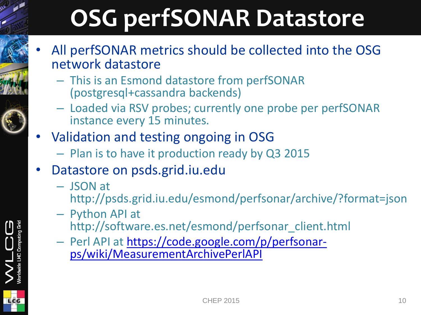# **OSG perfSONAR Datastore**

- All perfSONAR metrics should be collected into the OSG network datastore
	- This is an Esmond datastore from perfSONAR (postgresql+cassandra backends)
	- Loaded via RSV probes; currently one probe per perfSONAR instance every 15 minutes.
- Validation and testing ongoing in OSG
	- Plan is to have it production ready by Q3 2015
- Datastore on psds.grid.iu.edu
	- JSON at
		- http://psds.grid.iu.edu/esmond/perfsonar/archive/?format=json
	- Python API at http://software.es.net/esmond/perfsonar\_client.html
	- Perl API at [https://code.google.com/p/perfsonar](https://code.google.com/p/perfsonar-ps/wiki/MeasurementArchivePerlAPI)[ps/wiki/MeasurementArchivePerlAPI](https://code.google.com/p/perfsonar-ps/wiki/MeasurementArchivePerlAPI)



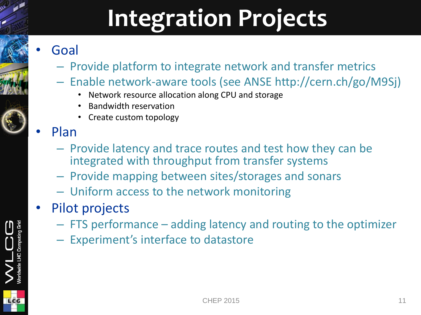# **Integration Projects**

#### • Goal

- Provide platform to integrate network and transfer metrics
- Enable network-aware tools (see ANSE http://cern.ch/go/M9Sj)
	- Network resource allocation along CPU and storage
	- Bandwidth reservation
	- Create custom topology

#### • Plan

- Provide latency and trace routes and test how they can be integrated with throughput from transfer systems
- Provide mapping between sites/storages and sonars
- Uniform access to the network monitoring
- Pilot projects
	- FTS performance adding latency and routing to the optimizer
	- Experiment's interface to datastore

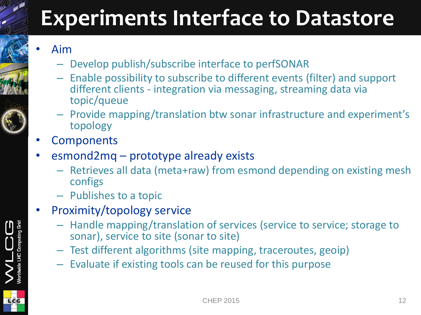### **Experiments Interface to Datastore**

#### • Aim

- Develop publish/subscribe interface to perfSONAR
- Enable possibility to subscribe to different events (filter) and support different clients - integration via messaging, streaming data via topic/queue
- Provide mapping/translation btw sonar infrastructure and experiment's topology
- **Components**
- esmond2mq prototype already exists
	- Retrieves all data (meta+raw) from esmond depending on existing mesh configs
	- Publishes to a topic
- Proximity/topology service
	- Handle mapping/translation of services (service to service; storage to sonar), service to site (sonar to site)
	- Test different algorithms (site mapping, traceroutes, geoip)
	- Evaluate if existing tools can be reused for this purpose



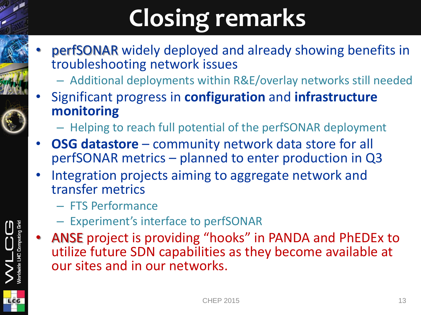# **Closing remarks**

- perfSONAR widely deployed and already showing benefits in troubleshooting network issues
	- Additional deployments within R&E/overlay networks still needed
- Significant progress in **configuration** and **infrastructure monitoring**
	- Helping to reach full potential of the perfSONAR deployment
- **OSG datastore** community network data store for all perfSONAR metrics – planned to enter production in Q3
- Integration projects aiming to aggregate network and transfer metrics
	- FTS Performance
	- Experiment's interface to perfSONAR
- ANSE project is providing "hooks" in PANDA and PhEDEx to utilize future SDN capabilities as they become available at our sites and in our networks.